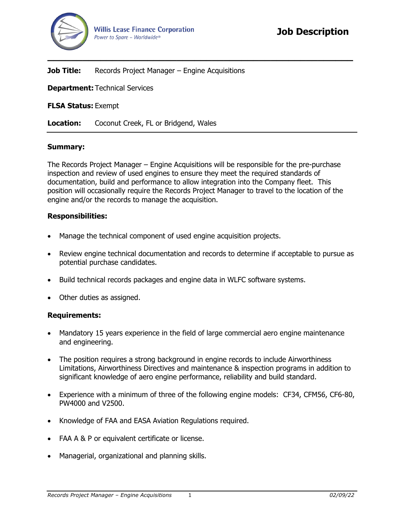

## **Job Title:** Records Project Manager – Engine Acquisitions

**Department:** Technical Services

**FLSA Status:** Exempt

**Location:** Coconut Creek, FL or Bridgend, Wales

## **Summary:**

The Records Project Manager – Engine Acquisitions will be responsible for the pre-purchase inspection and review of used engines to ensure they meet the required standards of documentation, build and performance to allow integration into the Company fleet. This position will occasionally require the Records Project Manager to travel to the location of the engine and/or the records to manage the acquisition.

**\_\_\_\_\_\_\_\_\_\_\_\_\_\_\_\_\_\_\_\_\_\_\_\_\_\_\_\_\_\_\_\_\_\_\_\_\_\_\_\_\_\_\_\_\_\_\_\_\_\_\_\_**

## **Responsibilities:**

- Manage the technical component of used engine acquisition projects.
- Review engine technical documentation and records to determine if acceptable to pursue as potential purchase candidates.
- Build technical records packages and engine data in WLFC software systems.
- Other duties as assigned.

## **Requirements:**

- Mandatory 15 years experience in the field of large commercial aero engine maintenance and engineering.
- The position requires a strong background in engine records to include Airworthiness Limitations, Airworthiness Directives and maintenance & inspection programs in addition to significant knowledge of aero engine performance, reliability and build standard.
- Experience with a minimum of three of the following engine models: CF34, CFM56, CF6-80, PW4000 and V2500.
- Knowledge of FAA and EASA Aviation Regulations required.
- FAA A & P or equivalent certificate or license.
- Managerial, organizational and planning skills.